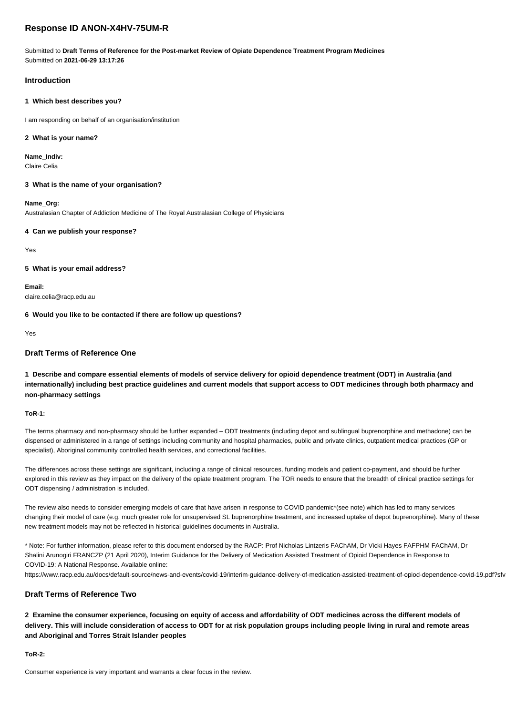# **Response ID ANON-X4HV-75UM-R**

Submitted to **Draft Terms of Reference for the Post-market Review of Opiate Dependence Treatment Program Medicines** Submitted on **2021-06-29 13:17:26**

# **Introduction**

## **1 Which best describes you?**

I am responding on behalf of an organisation/institution

#### **2 What is your name?**

**Name\_Indiv:** Claire Celia

**3 What is the name of your organisation?**

**Name\_Org:**

Australasian Chapter of Addiction Medicine of The Royal Australasian College of Physicians

# **4 Can we publish your response?**

Yes

# **5 What is your email address?**

**Email:** claire.celia@racp.edu.au

**6 Would you like to be contacted if there are follow up questions?**

Yes

# **Draft Terms of Reference One**

**1 Describe and compare essential elements of models of service delivery for opioid dependence treatment (ODT) in Australia (and internationally) including best practice guidelines and current models that support access to ODT medicines through both pharmacy and non-pharmacy settings**

#### **ToR-1:**

The terms pharmacy and non-pharmacy should be further expanded – ODT treatments (including depot and sublingual buprenorphine and methadone) can be dispensed or administered in a range of settings including community and hospital pharmacies, public and private clinics, outpatient medical practices (GP or specialist), Aboriginal community controlled health services, and correctional facilities.

The differences across these settings are significant, including a range of clinical resources, funding models and patient co-payment, and should be further explored in this review as they impact on the delivery of the opiate treatment program. The TOR needs to ensure that the breadth of clinical practice settings for ODT dispensing / administration is included.

The review also needs to consider emerging models of care that have arisen in response to COVID pandemic\*(see note) which has led to many services changing their model of care (e.g. much greater role for unsupervised SL buprenorphine treatment, and increased uptake of depot buprenorphine). Many of these new treatment models may not be reflected in historical guidelines documents in Australia.

\* Note: For further information, please refer to this document endorsed by the RACP: Prof Nicholas Lintzeris FAChAM, Dr Vicki Hayes FAFPHM FAChAM, Dr Shalini Arunogiri FRANCZP (21 April 2020), Interim Guidance for the Delivery of Medication Assisted Treatment of Opioid Dependence in Response to COVID-19: A National Response. Available online:

https://www.racp.edu.au/docs/default-source/news-and-events/covid-19/interim-guidance-delivery-of-medication-assisted-treatment-of-opiod-dependence-covid-19.pdf?sfv

# **Draft Terms of Reference Two**

**2 Examine the consumer experience, focusing on equity of access and affordability of ODT medicines across the different models of delivery. This will include consideration of access to ODT for at risk population groups including people living in rural and remote areas and Aboriginal and Torres Strait Islander peoples**

**ToR-2:**

Consumer experience is very important and warrants a clear focus in the review.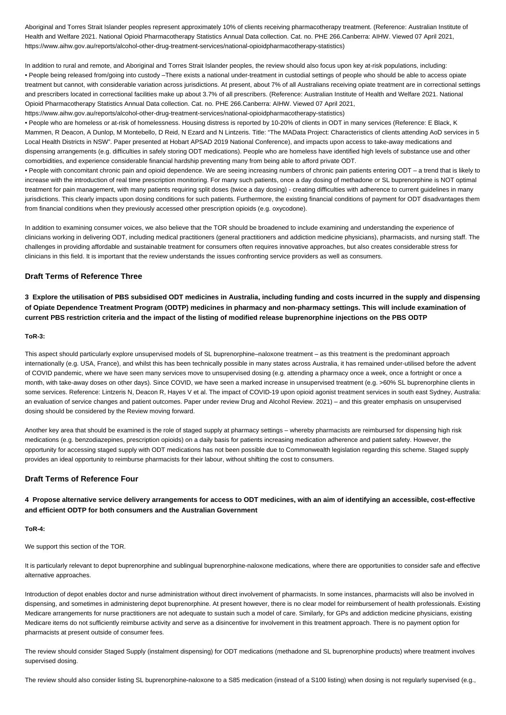Aboriginal and Torres Strait Islander peoples represent approximately 10% of clients receiving pharmacotherapy treatment. (Reference: Australian Institute of Health and Welfare 2021. National Opioid Pharmacotherapy Statistics Annual Data collection. Cat. no. PHE 266.Canberra: AIHW. Viewed 07 April 2021, https://www.aihw.gov.au/reports/alcohol-other-drug-treatment-services/national-opioidpharmacotherapy-statistics)

In addition to rural and remote, and Aboriginal and Torres Strait Islander peoples, the review should also focus upon key at-risk populations, including: • People being released from/going into custody –There exists a national under-treatment in custodial settings of people who should be able to access opiate treatment but cannot, with considerable variation across jurisdictions. At present, about 7% of all Australians receiving opiate treatment are in correctional settings and prescribers located in correctional facilities make up about 3.7% of all prescribers. (Reference: Australian Institute of Health and Welfare 2021. National Opioid Pharmacotherapy Statistics Annual Data collection. Cat. no. PHE 266.Canberra: AIHW. Viewed 07 April 2021, https://www.aihw.gov.au/reports/alcohol-other-drug-treatment-services/national-opioidpharmacotherapy-statistics)

• People who are homeless or at-risk of homelessness. Housing distress is reported by 10-20% of clients in ODT in many services (Reference: E Black, K Mammen, R Deacon, A Dunlop, M Montebello, D Reid, N Ezard and N Lintzeris. Title: "The MAData Project: Characteristics of clients attending AoD services in 5 Local Health Districts in NSW". Paper presented at Hobart APSAD 2019 National Conference), and impacts upon access to take-away medications and dispensing arrangements (e.g. difficulties in safely storing ODT medications). People who are homeless have identified high levels of substance use and other comorbidities, and experience considerable financial hardship preventing many from being able to afford private ODT.

• People with concomitant chronic pain and opioid dependence. We are seeing increasing numbers of chronic pain patients entering ODT – a trend that is likely to increase with the introduction of real time prescription monitoring. For many such patients, once a day dosing of methadone or SL buprenorphine is NOT optimal treatment for pain management, with many patients requiring split doses (twice a day dosing) - creating difficulties with adherence to current guidelines in many jurisdictions. This clearly impacts upon dosing conditions for such patients. Furthermore, the existing financial conditions of payment for ODT disadvantages them from financial conditions when they previously accessed other prescription opioids (e.g. oxycodone).

In addition to examining consumer voices, we also believe that the TOR should be broadened to include examining and understanding the experience of clinicians working in delivering ODT, including medical practitioners (general practitioners and addiction medicine physicians), pharmacists, and nursing staff. The challenges in providing affordable and sustainable treatment for consumers often requires innovative approaches, but also creates considerable stress for clinicians in this field. It is important that the review understands the issues confronting service providers as well as consumers.

# **Draft Terms of Reference Three**

**3 Explore the utilisation of PBS subsidised ODT medicines in Australia, including funding and costs incurred in the supply and dispensing of Opiate Dependence Treatment Program (ODTP) medicines in pharmacy and non-pharmacy settings. This will include examination of current PBS restriction criteria and the impact of the listing of modified release buprenorphine injections on the PBS ODTP**

#### **ToR-3:**

This aspect should particularly explore unsupervised models of SL buprenorphine–naloxone treatment – as this treatment is the predominant approach internationally (e.g. USA, France), and whilst this has been technically possible in many states across Australia, it has remained under-utilised before the advent of COVID pandemic, where we have seen many services move to unsupervised dosing (e.g. attending a pharmacy once a week, once a fortnight or once a month, with take-away doses on other days). Since COVID, we have seen a marked increase in unsupervised treatment (e.g. >60% SL buprenorphine clients in some services. Reference: Lintzeris N, Deacon R, Hayes V et al. The impact of COVID-19 upon opioid agonist treatment services in south east Sydney, Australia: an evaluation of service changes and patient outcomes. Paper under review Drug and Alcohol Review. 2021) – and this greater emphasis on unsupervised dosing should be considered by the Review moving forward.

Another key area that should be examined is the role of staged supply at pharmacy settings – whereby pharmacists are reimbursed for dispensing high risk medications (e.g. benzodiazepines, prescription opioids) on a daily basis for patients increasing medication adherence and patient safety. However, the opportunity for accessing staged supply with ODT medications has not been possible due to Commonwealth legislation regarding this scheme. Staged supply provides an ideal opportunity to reimburse pharmacists for their labour, without shifting the cost to consumers.

### **Draft Terms of Reference Four**

# **4 Propose alternative service delivery arrangements for access to ODT medicines, with an aim of identifying an accessible, cost-effective and efficient ODTP for both consumers and the Australian Government**

#### **ToR-4:**

We support this section of the TOR.

It is particularly relevant to depot buprenorphine and sublingual buprenorphine-naloxone medications, where there are opportunities to consider safe and effective alternative approaches.

Introduction of depot enables doctor and nurse administration without direct involvement of pharmacists. In some instances, pharmacists will also be involved in dispensing, and sometimes in administering depot buprenorphine. At present however, there is no clear model for reimbursement of health professionals. Existing Medicare arrangements for nurse practitioners are not adequate to sustain such a model of care. Similarly, for GPs and addiction medicine physicians, existing Medicare items do not sufficiently reimburse activity and serve as a disincentive for involvement in this treatment approach. There is no payment option for pharmacists at present outside of consumer fees.

The review should consider Staged Supply (instalment dispensing) for ODT medications (methadone and SL buprenorphine products) where treatment involves supervised dosing.

The review should also consider listing SL buprenorphine-naloxone to a S85 medication (instead of a S100 listing) when dosing is not regularly supervised (e.g.,